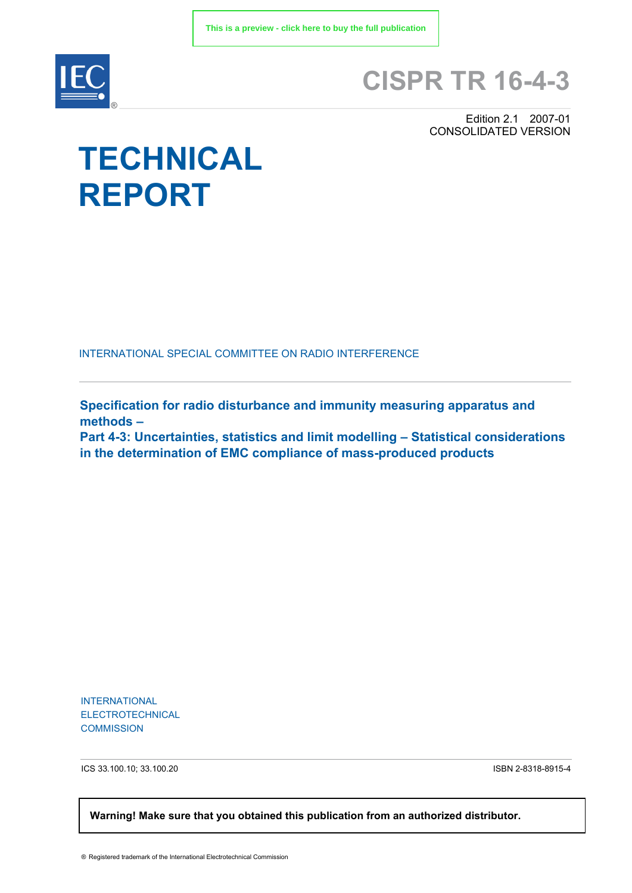

# **CISPR TR 16-4-3**

Edition 2.1 2007-01 CONSOLIDATED VERSION

# **TECHNICAL REPORT**

INTERNATIONAL SPECIAL COMMITTEE ON RADIO INTERFERENCE

**Specification for radio disturbance and immunity measuring apparatus and methods –** 

**Part 4-3: Uncertainties, statistics and limit modelling – Statistical considerations in the determination of EMC compliance of mass-produced products**

INTERNATIONAL ELECTROTECHNICAL **COMMISSION** 

ICS 33.100.10; 33.100.20 ISBN 2-8318-8915-4

 **Warning! Make sure that you obtained this publication from an authorized distributor.**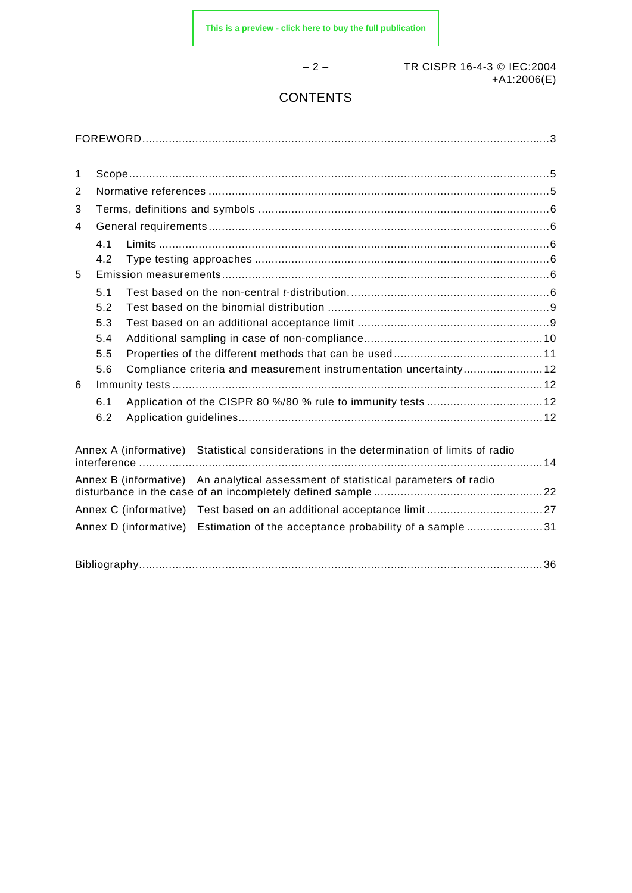#### – 2 – TR CISPR 16-4-3 © IEC:2004 +A1:2006(E)

# **CONTENTS**

| 1                                                                                        |     |                                                                                   |  |  |
|------------------------------------------------------------------------------------------|-----|-----------------------------------------------------------------------------------|--|--|
| 2                                                                                        |     |                                                                                   |  |  |
| 3                                                                                        |     |                                                                                   |  |  |
| 4                                                                                        |     |                                                                                   |  |  |
|                                                                                          | 4.1 |                                                                                   |  |  |
|                                                                                          | 4.2 |                                                                                   |  |  |
| 5                                                                                        |     |                                                                                   |  |  |
|                                                                                          | 5.1 |                                                                                   |  |  |
|                                                                                          | 5.2 |                                                                                   |  |  |
|                                                                                          | 5.3 |                                                                                   |  |  |
|                                                                                          | 5.4 |                                                                                   |  |  |
|                                                                                          | 5.5 |                                                                                   |  |  |
|                                                                                          | 5.6 | Compliance criteria and measurement instrumentation uncertainty12                 |  |  |
| 6                                                                                        |     |                                                                                   |  |  |
|                                                                                          | 6.1 |                                                                                   |  |  |
|                                                                                          | 6.2 |                                                                                   |  |  |
|                                                                                          |     |                                                                                   |  |  |
| Annex A (informative) Statistical considerations in the determination of limits of radio |     |                                                                                   |  |  |
|                                                                                          |     | Annex B (informative) An analytical assessment of statistical parameters of radio |  |  |
|                                                                                          |     | Annex C (informative) Test based on an additional acceptance limit 27             |  |  |

Annex D (informative) Estimation of the acceptance probability of a sample .......................31

Bibliography..........................................................................................................................36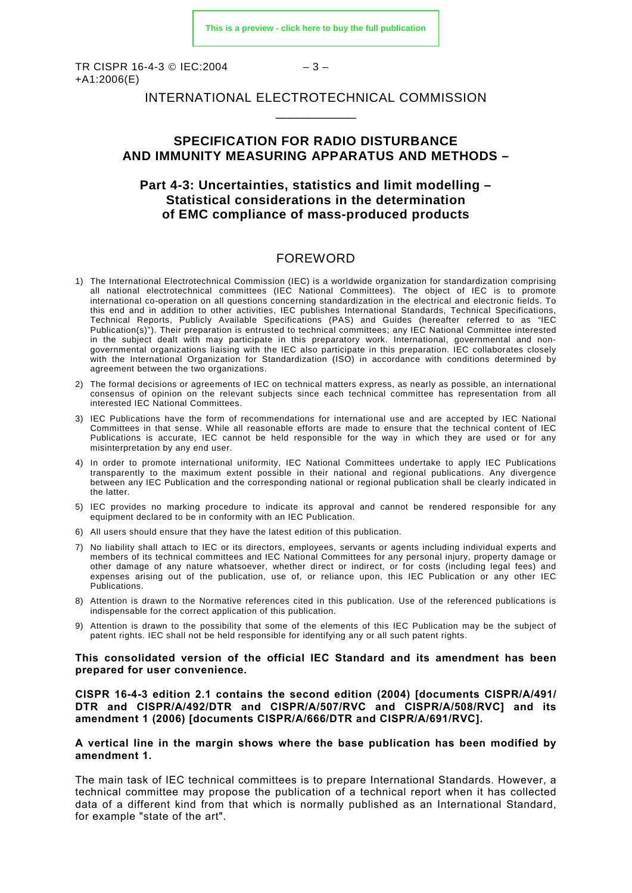**[This is a preview - click here to buy the full publication](https://webstore.iec.ch/publication/59&preview)**

TR CISPR 16-4-3 © IEC:2004  $-3-$ +A1:2006(E)

### INTERNATIONAL ELECTROTECHNICAL COMMISSION \_\_\_\_\_\_\_\_\_\_\_\_

# **SPECIFICATION FOR RADIO DISTURBANCE AND IMMUNITY MEASURING APPARATUS AND METHODS –**

# **Part 4-3: Uncertainties, statistics and limit modelling – Statistical considerations in the determination of EMC compliance of mass-produced products**

#### FOREWORD

- 1) The International Electrotechnical Commission (IEC) is a worldwide organization for standardization comprising all national electrotechnical committees (IEC National Committees). The object of IEC is to promote international co-operation on all questions concerning standardization in the electrical and electronic fields. To this end and in addition to other activities, IEC publishes International Standards, Technical Specifications, Technical Reports, Publicly Available Specifications (PAS) and Guides (hereafter referred to as "IEC Publication(s)"). Their preparation is entrusted to technical committees; any IEC National Committee interested in the subject dealt with may participate in this preparatory work. International, governmental and nongovernmental organizations liaising with the IEC also participate in this preparation. IEC collaborates closely with the International Organization for Standardization (ISO) in accordance with conditions determined by agreement between the two organizations.
- 2) The formal decisions or agreements of IEC on technical matters express, as nearly as possible, an international consensus of opinion on the relevant subjects since each technical committee has representation from all interested IEC National Committees.
- 3) IEC Publications have the form of recommendations for international use and are accepted by IEC National Committees in that sense. While all reasonable efforts are made to ensure that the technical content of IEC Publications is accurate, IEC cannot be held responsible for the way in which they are used or for any misinterpretation by any end user.
- 4) In order to promote international uniformity, IEC National Committees undertake to apply IEC Publications transparently to the maximum extent possible in their national and regional publications. Any divergence between any IEC Publication and the corresponding national or regional publication shall be clearly indicated in the latter.
- 5) IEC provides no marking procedure to indicate its approval and cannot be rendered responsible for any equipment declared to be in conformity with an IEC Publication.
- 6) All users should ensure that they have the latest edition of this publication.
- 7) No liability shall attach to IEC or its directors, employees, servants or agents including individual experts and members of its technical committees and IEC National Committees for any personal injury, property damage or other damage of any nature whatsoever, whether direct or indirect, or for costs (including legal fees) and expenses arising out of the publication, use of, or reliance upon, this IEC Publication or any other IEC Publications.
- 8) Attention is drawn to the Normative references cited in this publication. Use of the referenced publications is indispensable for the correct application of this publication.
- 9) Attention is drawn to the possibility that some of the elements of this IEC Publication may be the subject of patent rights. IEC shall not be held responsible for identifying any or all such patent rights.

#### **This consolidated version of the official IEC Standard and its amendment has been prepared for user convenience.**

**CISPR 16-4-3 edition 2.1 contains the second edition (2004) [documents CISPR/A/491/ DTR and CISPR/A/492/DTR and CISPR/A/507/RVC and CISPR/A/508/RVC] and its amendment 1 (2006) [documents CISPR/A/666/DTR and CISPR/A/691/RVC].**

#### **A vertical line in the margin shows where the base publication has been modified by amendment 1.**

The main task of IEC technical committees is to prepare International Standards. However, a technical committee may propose the publication of a technical report when it has collected data of a different kind from that which is normally published as an International Standard, for example "state of the art".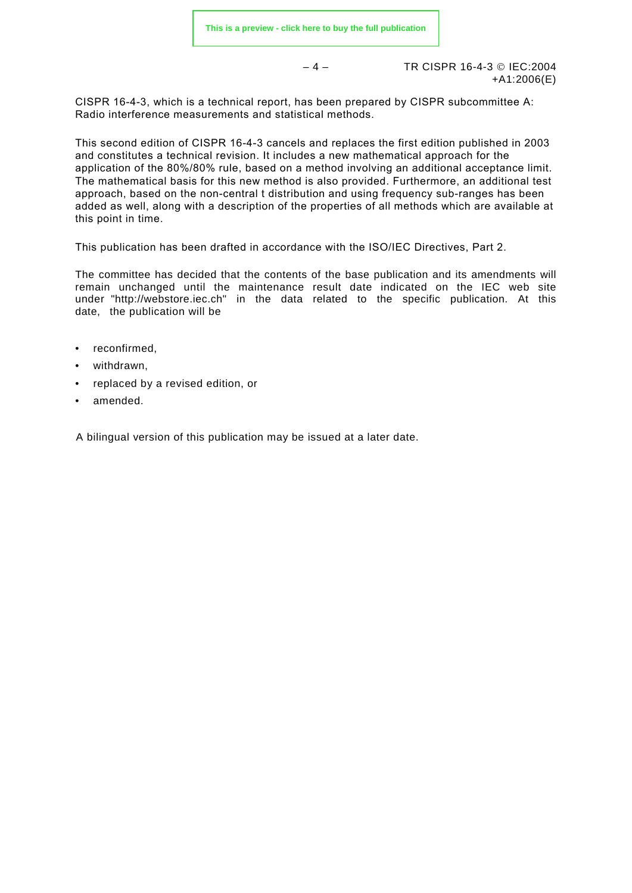– 4 – TR CISPR 16-4-3 © IEC:2004 +A1:2006(E)

CISPR 16-4-3, which is a technical report, has been prepared by CISPR subcommittee A: Radio interference measurements and statistical methods.

This second edition of CISPR 16-4-3 cancels and replaces the first edition published in 2003 and constitutes a technical revision. It includes a new mathematical approach for the application of the 80%/80% rule, based on a method involving an additional acceptance limit. The mathematical basis for this new method is also provided. Furthermore, an additional test approach, based on the non-central t distribution and using frequency sub-ranges has been added as well, along with a description of the properties of all methods which are available at this point in time.

This publication has been drafted in accordance with the ISO/IEC Directives, Part 2.

The committee has decided that the contents of the base publication and its amendments will remain unchanged until the maintenance result date indicated on the IEC web site under "http://webstore.iec.ch" in the data related to the specific publication. At this date, the publication will be

- reconfirmed.
- withdrawn,
- replaced by a revised edition, or
- amended.

A bilingual version of this publication may be issued at a later date.